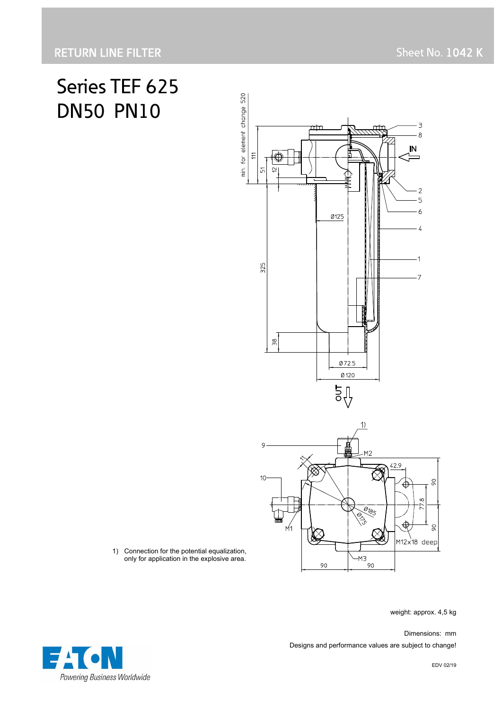# Series TEF 625 DN50 PN10



1) Connection for the potential equalization, only for application in the explosive area.

weight: approx. 4,5 kg

 Dimensions: mm Designs and performance values are subject to change!

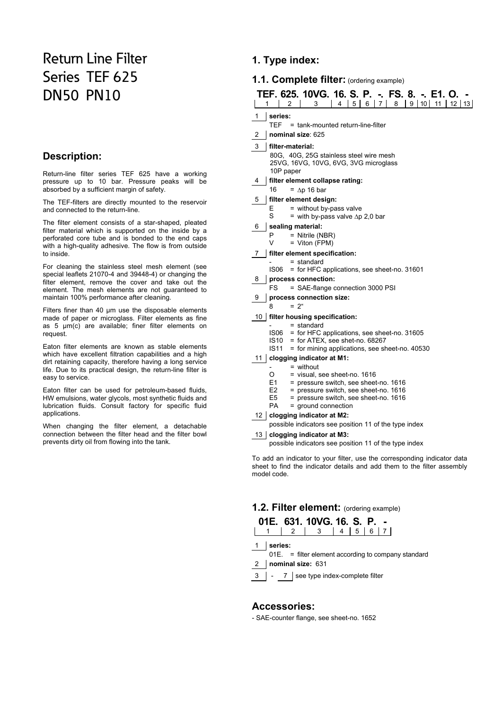# Return Line Filter Series TEF 625 DN50 PN10

# **Description:**

Return-line filter series TEF 625 have a working pressure up to 10 bar. Pressure peaks will be absorbed by a sufficient margin of safety.

The TEF-filters are directly mounted to the reservoir and connected to the return-line.

The filter element consists of a star-shaped, pleated filter material which is supported on the inside by a perforated core tube and is bonded to the end caps with a high-quality adhesive. The flow is from outside to inside.

For cleaning the stainless steel mesh element (see special leaflets 21070-4 and 39448-4) or changing the filter element, remove the cover and take out the element. The mesh elements are not guaranteed to maintain 100% performance after cleaning.

Filters finer than 40 µm use the disposable elements made of paper or microglass. Filter elements as fine as 5 µm(c) are available; finer filter elements on request.

Eaton filter elements are known as stable elements which have excellent filtration capabilities and a high dirt retaining capacity, therefore having a long service life. Due to its practical design, the return-line filter is easy to service.

Eaton filter can be used for petroleum-based fluids, HW emulsions, water glycols, most synthetic fluids and lubrication fluids. Consult factory for specific fluid applications.

When changing the filter element, a detachable connection between the filter head and the filter bowl prevents dirty oil from flowing into the tank.

# **1. Type index:**

# **1.1. Complete filter:** (ordering example)

|                             | TEF. 625. 10VG. 16. S. P. -. FS. 8. -. E1. O.<br>10 <sup>1</sup><br>8<br>9<br>11<br>$12 \mid 13$<br>2<br>5 <sub>1</sub><br>6<br>7<br>1<br>3<br>4 |  |  |  |  |
|-----------------------------|--------------------------------------------------------------------------------------------------------------------------------------------------|--|--|--|--|
| 1                           | series:                                                                                                                                          |  |  |  |  |
|                             | TEF.<br>= tank-mounted return-line-filter                                                                                                        |  |  |  |  |
| 2                           | nominal size: 625                                                                                                                                |  |  |  |  |
| 3<br>filter-material:       |                                                                                                                                                  |  |  |  |  |
|                             | 80G, 40G, 25G stainless steel wire mesh<br>25VG, 16VG, 10VG, 6VG, 3VG microglass<br>10P paper                                                    |  |  |  |  |
| 4                           | filter element collapse rating:                                                                                                                  |  |  |  |  |
|                             | 16<br>$=$ $\Delta p$ 16 bar                                                                                                                      |  |  |  |  |
| 5                           | filter element design:                                                                                                                           |  |  |  |  |
|                             | = without by-pass valve<br>E                                                                                                                     |  |  |  |  |
|                             | S<br>= with by-pass valve $\Delta p$ 2,0 bar                                                                                                     |  |  |  |  |
| sealing material:<br>6<br>P |                                                                                                                                                  |  |  |  |  |
|                             | = Nitrile (NBR)<br>V<br>$=$ Viton (FPM)                                                                                                          |  |  |  |  |
| 7                           | filter element specification:                                                                                                                    |  |  |  |  |
|                             | $=$ standard                                                                                                                                     |  |  |  |  |
|                             | <b>IS06</b><br>= for HFC applications, see sheet-no. 31601                                                                                       |  |  |  |  |
| 8                           | process connection:                                                                                                                              |  |  |  |  |
|                             | FS<br>= SAE-flange connection 3000 PSI                                                                                                           |  |  |  |  |
| 9                           | process connection size:<br>8<br>$= 2u$                                                                                                          |  |  |  |  |
|                             |                                                                                                                                                  |  |  |  |  |
|                             | 10   filter housing specification:<br>$=$ standard                                                                                               |  |  |  |  |
|                             | IS06<br>= for HFC applications, see sheet-no. 31605                                                                                              |  |  |  |  |
|                             | IS10<br>= for ATEX, see shet-no. 68267                                                                                                           |  |  |  |  |
|                             | IS11<br>= for mining applications, see sheet-no. 40530                                                                                           |  |  |  |  |
| 11 I                        | clogging indicator at M1:<br>$=$ without                                                                                                         |  |  |  |  |
|                             | O<br>= visual, see sheet-no. 1616                                                                                                                |  |  |  |  |
|                             | E1<br>= pressure switch, see sheet-no. 1616                                                                                                      |  |  |  |  |
|                             | E <sub>2</sub><br>= pressure switch, see sheet-no. 1616                                                                                          |  |  |  |  |
|                             | E5<br>= pressure switch, see sheet-no. 1616<br><b>PA</b><br>$=$ ground connection                                                                |  |  |  |  |
|                             | 12   clogging indicator at M2:                                                                                                                   |  |  |  |  |
|                             | possible indicators see position 11 of the type index                                                                                            |  |  |  |  |
|                             |                                                                                                                                                  |  |  |  |  |

#### 13 **clogging indicator at M3:**

possible indicators see position 11 of the type index

To add an indicator to your filter, use the corresponding indicator data sheet to find the indicator details and add them to the filter assembly model code.

### **1.2. Filter element:** (ordering example)

|           | 01E. 631. 10VG. 16. S. P. -                   |  |  |
|-----------|-----------------------------------------------|--|--|
|           | $1 \mid 2 \mid 3 \mid 4 \mid 5 \mid 6 \mid 7$ |  |  |
| 1 series: |                                               |  |  |

- 01E. = filter element according to company standard
- 2 **nominal size:** 631
- 3 | 7 | see type index-complete filter

#### **Accessories:**

- SAE-counter flange, see sheet-no. 1652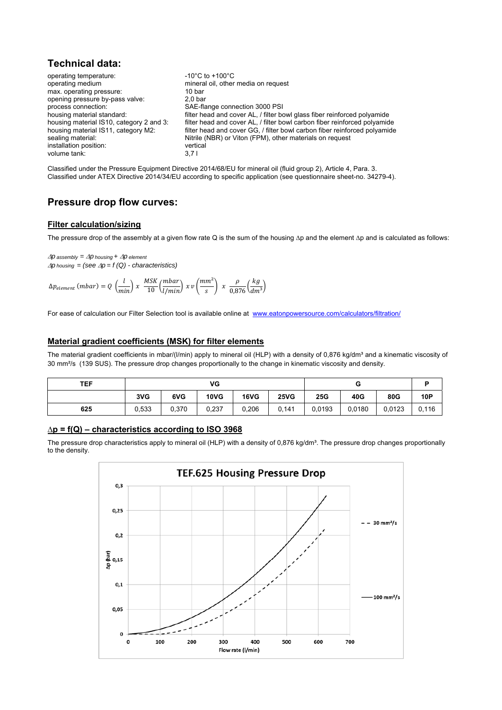# **Technical data:**

operating temperature:  $-10^{\circ}$ C to +100°C operating medium mineral oil, other media on request max. operating pressure: 10 bar opening pressure by-pass valve: 2.0 bar opening pressure by-pass valve: process connection: SAE-flange connection 3000 PSI housing material standard: **filter head and cover AL, / filter bowl glass fiber reinforced polyamide** housing material IS10, category 2 and 3: filter head and cover AL, / filter bowl carbon fiber reinforced polyamide housing material IS11, category M2: filter head and cover GG, / filter bowl carbon fiber reinforced polyamide sealing material: Nitrile (NBR) or Viton (FPM), other materials on request installation position: vertical<br>volume tank: 3.7 l volume tank:

Classified under the Pressure Equipment Directive 2014/68/EU for mineral oil (fluid group 2), Article 4, Para. 3. Classified under ATEX Directive 2014/34/EU according to specific application (see questionnaire sheet-no. 34279-4).

# **Pressure drop flow curves:**

#### **Filter calculation/sizing**

The pressure drop of the assembly at a given flow rate Q is the sum of the housing ∆p and the element ∆p and is calculated as follows:

 $\Delta p$  assembly =  $\Delta p$  housing +  $\Delta p$  element  $\Delta p$  *housing = (see*  $\Delta p = f(Q)$  *- characteristics)* 

$$
\Delta p_{element} \ (mbar) = Q \ \left(\frac{l}{min}\right) \ x \ \frac{MSK}{10} \left(\frac{mbar}{l/min}\right) \ x \ v \left(\frac{mm^2}{s}\right) \ x \ \frac{\rho}{0.876} \left(\frac{kg}{dm^3}\right)
$$

For ease of calculation our Filter Selection tool is available online at www.eatonpowersource.com/calculators/filtration/

#### **Material gradient coefficients (MSK) for filter elements**

The material gradient coefficients in mbar/(I/min) apply to mineral oil (HLP) with a density of 0,876 kg/dm<sup>3</sup> and a kinematic viscosity of 30 mm²/s (139 SUS). The pressure drop changes proportionally to the change in kinematic viscosity and density.

| <b>TEF</b> | VG    |       |             |       |             | u      |        | n      |       |
|------------|-------|-------|-------------|-------|-------------|--------|--------|--------|-------|
|            | 3VG   | 6VG   | <b>10VG</b> | 16VG  | <b>25VG</b> | 25G    | 40G    | 80G    | 10P   |
| 625        | 0,533 | 0,370 | 0,237       | 0,206 | 0,141       | 0,0193 | 0.0180 | 0,0123 | 0,116 |

#### **∆p = f(Q) – characteristics according to ISO 3968**

The pressure drop characteristics apply to mineral oil (HLP) with a density of 0,876 kg/dm<sup>3</sup>. The pressure drop changes proportionally to the density.